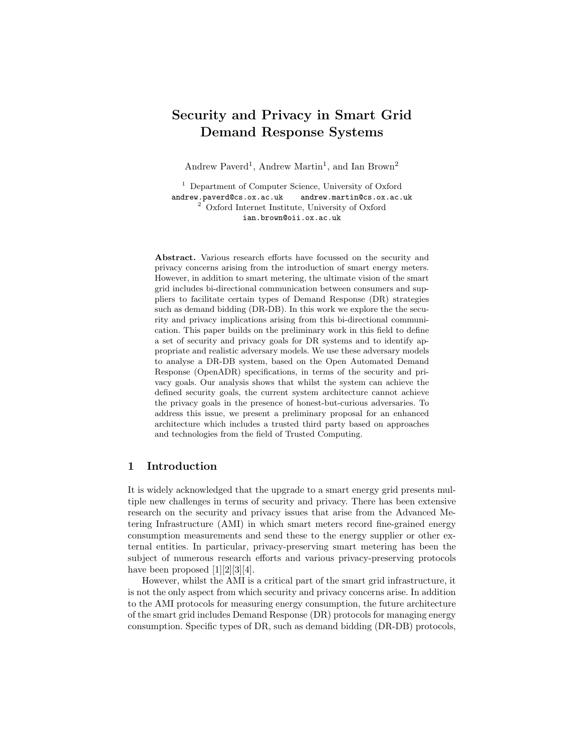# Security and Privacy in Smart Grid Demand Response Systems

Andrew Paverd<sup>1</sup>, Andrew Martin<sup>1</sup>, and Ian Brown<sup>2</sup>

<sup>1</sup> Department of Computer Science, University of Oxford andrew.paverd@cs.ox.ac.uk andrew.martin@cs.ox.ac.uk <sup>2</sup> Oxford Internet Institute, University of Oxford ian.brown@oii.ox.ac.uk

Abstract. Various research efforts have focussed on the security and privacy concerns arising from the introduction of smart energy meters. However, in addition to smart metering, the ultimate vision of the smart grid includes bi-directional communication between consumers and suppliers to facilitate certain types of Demand Response (DR) strategies such as demand bidding (DR-DB). In this work we explore the the security and privacy implications arising from this bi-directional communication. This paper builds on the preliminary work in this field to define a set of security and privacy goals for DR systems and to identify appropriate and realistic adversary models. We use these adversary models to analyse a DR-DB system, based on the Open Automated Demand Response (OpenADR) specifications, in terms of the security and privacy goals. Our analysis shows that whilst the system can achieve the defined security goals, the current system architecture cannot achieve the privacy goals in the presence of honest-but-curious adversaries. To address this issue, we present a preliminary proposal for an enhanced architecture which includes a trusted third party based on approaches and technologies from the field of Trusted Computing.

# 1 Introduction

It is widely acknowledged that the upgrade to a smart energy grid presents multiple new challenges in terms of security and privacy. There has been extensive research on the security and privacy issues that arise from the Advanced Metering Infrastructure (AMI) in which smart meters record fine-grained energy consumption measurements and send these to the energy supplier or other external entities. In particular, privacy-preserving smart metering has been the subject of numerous research efforts and various privacy-preserving protocols have been proposed [\[1\]](#page-14-0)[\[2\]](#page-14-1)[\[3\]](#page-14-2)[\[4\]](#page-14-3).

However, whilst the AMI is a critical part of the smart grid infrastructure, it is not the only aspect from which security and privacy concerns arise. In addition to the AMI protocols for measuring energy consumption, the future architecture of the smart grid includes Demand Response (DR) protocols for managing energy consumption. Specific types of DR, such as demand bidding (DR-DB) protocols,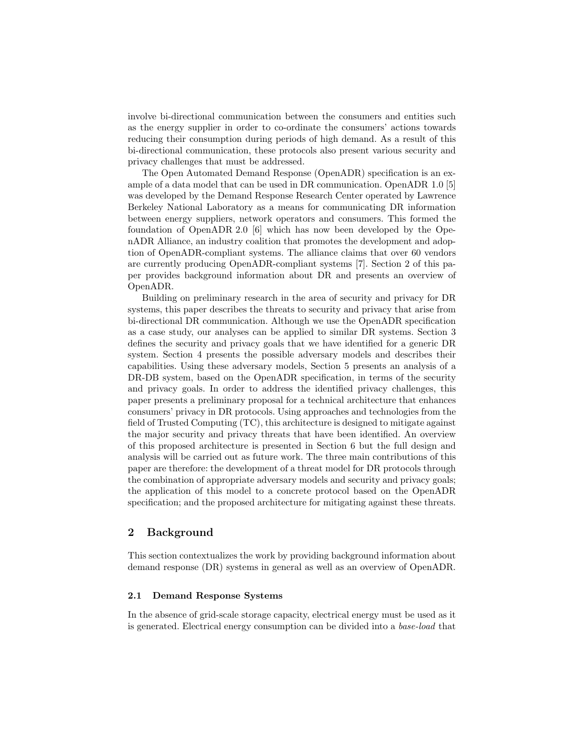involve bi-directional communication between the consumers and entities such as the energy supplier in order to co-ordinate the consumers' actions towards reducing their consumption during periods of high demand. As a result of this bi-directional communication, these protocols also present various security and privacy challenges that must be addressed.

The Open Automated Demand Response (OpenADR) specification is an example of a data model that can be used in DR communication. OpenADR 1.0 [\[5\]](#page-14-4) was developed by the Demand Response Research Center operated by Lawrence Berkeley National Laboratory as a means for communicating DR information between energy suppliers, network operators and consumers. This formed the foundation of OpenADR 2.0 [\[6\]](#page-14-5) which has now been developed by the OpenADR Alliance, an industry coalition that promotes the development and adoption of OpenADR-compliant systems. The alliance claims that over 60 vendors are currently producing OpenADR-compliant systems [\[7\]](#page-14-6). Section [2](#page-1-0) of this paper provides background information about DR and presents an overview of OpenADR.

Building on preliminary research in the area of security and privacy for DR systems, this paper describes the threats to security and privacy that arise from bi-directional DR communication. Although we use the OpenADR specification as a case study, our analyses can be applied to similar DR systems. Section [3](#page-5-0) defines the security and privacy goals that we have identified for a generic DR system. Section [4](#page-7-0) presents the possible adversary models and describes their capabilities. Using these adversary models, Section [5](#page-8-0) presents an analysis of a DR-DB system, based on the OpenADR specification, in terms of the security and privacy goals. In order to address the identified privacy challenges, this paper presents a preliminary proposal for a technical architecture that enhances consumers' privacy in DR protocols. Using approaches and technologies from the field of Trusted Computing (TC), this architecture is designed to mitigate against the major security and privacy threats that have been identified. An overview of this proposed architecture is presented in Section [6](#page-11-0) but the full design and analysis will be carried out as future work. The three main contributions of this paper are therefore: the development of a threat model for DR protocols through the combination of appropriate adversary models and security and privacy goals; the application of this model to a concrete protocol based on the OpenADR specification; and the proposed architecture for mitigating against these threats.

# <span id="page-1-0"></span>2 Background

This section contextualizes the work by providing background information about demand response (DR) systems in general as well as an overview of OpenADR.

#### 2.1 Demand Response Systems

In the absence of grid-scale storage capacity, electrical energy must be used as it is generated. Electrical energy consumption can be divided into a base-load that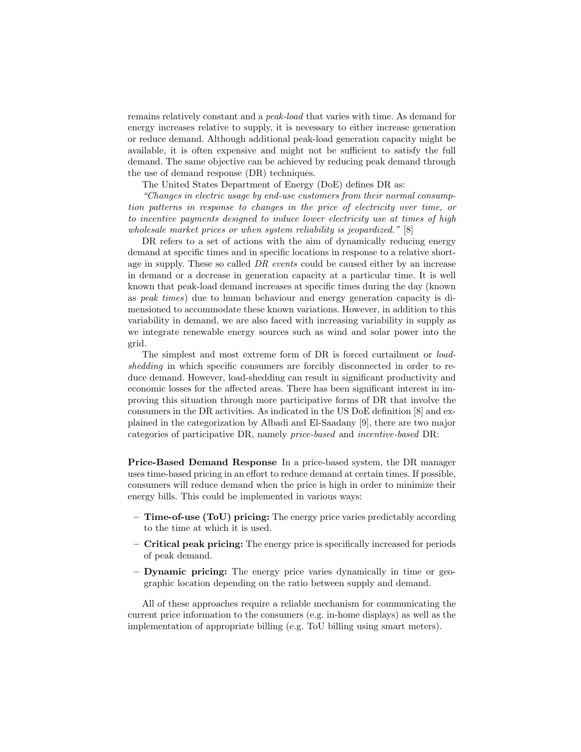remains relatively constant and a peak-load that varies with time. As demand for energy increases relative to supply, it is necessary to either increase generation or reduce demand. Although additional peak-load generation capacity might be available, it is often expensive and might not be sufficient to satisfy the full demand. The same objective can be achieved by reducing peak demand through the use of demand response (DR) techniques.

The United States Department of Energy (DoE) defines DR as:

"Changes in electric usage by end-use customers from their normal consumption patterns in response to changes in the price of electricity over time, or to incentive payments designed to induce lower electricity use at times of high wholesale market prices or when system reliability is jeopardized." [\[8\]](#page-14-7)

DR refers to a set of actions with the aim of dynamically reducing energy demand at specific times and in specific locations in response to a relative shortage in supply. These so called DR events could be caused either by an increase in demand or a decrease in generation capacity at a particular time. It is well known that peak-load demand increases at specific times during the day (known as peak times) due to human behaviour and energy generation capacity is dimensioned to accommodate these known variations. However, in addition to this variability in demand, we are also faced with increasing variability in supply as we integrate renewable energy sources such as wind and solar power into the grid.

The simplest and most extreme form of DR is forced curtailment or loadshedding in which specific consumers are forcibly disconnected in order to reduce demand. However, load-shedding can result in significant productivity and economic losses for the affected areas. There has been significant interest in improving this situation through more participative forms of DR that involve the consumers in the DR activities. As indicated in the US DoE definition [\[8\]](#page-14-7) and explained in the categorization by Albadi and El-Saadany [\[9\]](#page-14-8), there are two major categories of participative DR, namely price-based and incentive-based DR:

Price-Based Demand Response In a price-based system, the DR manager uses time-based pricing in an effort to reduce demand at certain times. If possible, consumers will reduce demand when the price is high in order to minimize their energy bills. This could be implemented in various ways:

- Time-of-use (ToU) pricing: The energy price varies predictably according to the time at which it is used.
- Critical peak pricing: The energy price is specifically increased for periods of peak demand.
- Dynamic pricing: The energy price varies dynamically in time or geographic location depending on the ratio between supply and demand.

All of these approaches require a reliable mechanism for communicating the current price information to the consumers (e.g. in-home displays) as well as the implementation of appropriate billing (e.g. ToU billing using smart meters).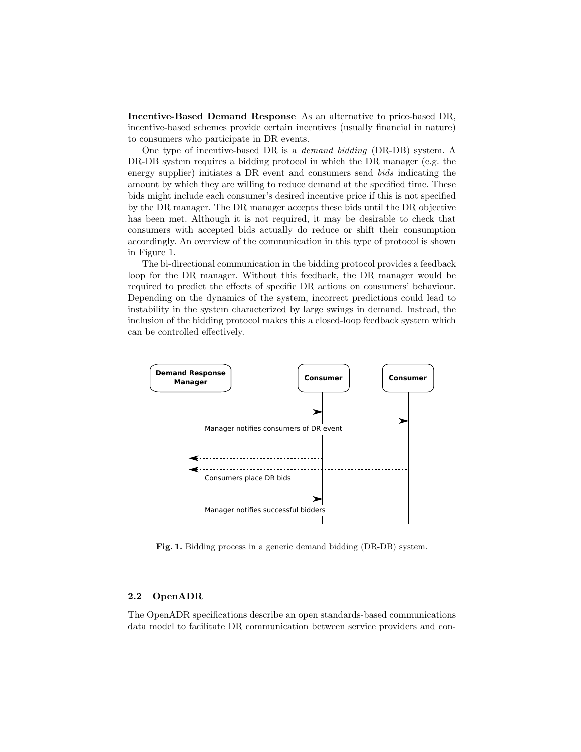Incentive-Based Demand Response As an alternative to price-based DR, incentive-based schemes provide certain incentives (usually financial in nature) to consumers who participate in DR events.

One type of incentive-based DR is a demand bidding (DR-DB) system. A DR-DB system requires a bidding protocol in which the DR manager (e.g. the energy supplier) initiates a DR event and consumers send bids indicating the amount by which they are willing to reduce demand at the specified time. These bids might include each consumer's desired incentive price if this is not specified by the DR manager. The DR manager accepts these bids until the DR objective has been met. Although it is not required, it may be desirable to check that consumers with accepted bids actually do reduce or shift their consumption accordingly. An overview of the communication in this type of protocol is shown in Figure [1.](#page-3-0)

The bi-directional communication in the bidding protocol provides a feedback loop for the DR manager. Without this feedback, the DR manager would be required to predict the effects of specific DR actions on consumers' behaviour. Depending on the dynamics of the system, incorrect predictions could lead to instability in the system characterized by large swings in demand. Instead, the inclusion of the bidding protocol makes this a closed-loop feedback system which can be controlled effectively.



<span id="page-3-0"></span>Fig. 1. Bidding process in a generic demand bidding (DR-DB) system.

### 2.2 OpenADR

The OpenADR specifications describe an open standards-based communications data model to facilitate DR communication between service providers and con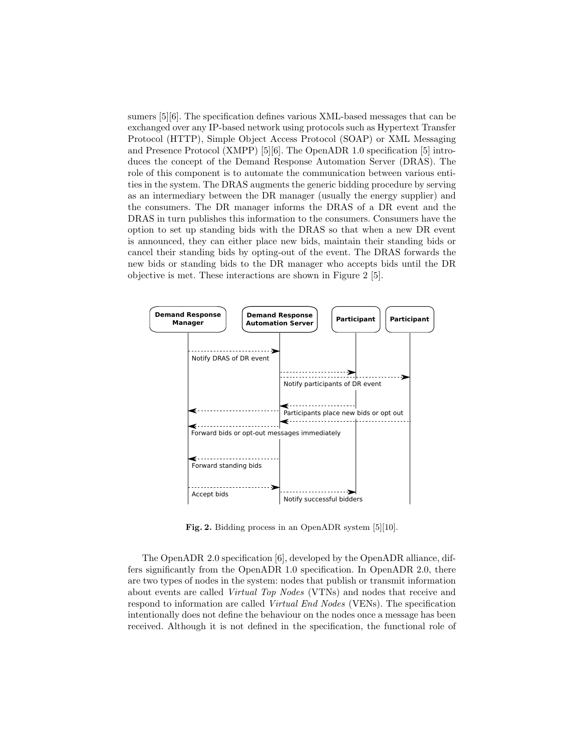sumers [\[5\]](#page-14-4)[\[6\]](#page-14-5). The specification defines various XML-based messages that can be exchanged over any IP-based network using protocols such as Hypertext Transfer Protocol (HTTP), Simple Object Access Protocol (SOAP) or XML Messaging and Presence Protocol (XMPP) [\[5\]](#page-14-4)[\[6\]](#page-14-5). The OpenADR 1.0 specification [\[5\]](#page-14-4) introduces the concept of the Demand Response Automation Server (DRAS). The role of this component is to automate the communication between various entities in the system. The DRAS augments the generic bidding procedure by serving as an intermediary between the DR manager (usually the energy supplier) and the consumers. The DR manager informs the DRAS of a DR event and the DRAS in turn publishes this information to the consumers. Consumers have the option to set up standing bids with the DRAS so that when a new DR event is announced, they can either place new bids, maintain their standing bids or cancel their standing bids by opting-out of the event. The DRAS forwards the new bids or standing bids to the DR manager who accepts bids until the DR objective is met. These interactions are shown in Figure [2](#page-4-0) [\[5\]](#page-14-4).



<span id="page-4-0"></span>Fig. 2. Bidding process in an OpenADR system [\[5\]](#page-14-4)[\[10\]](#page-14-9).

The OpenADR 2.0 specification [\[6\]](#page-14-5), developed by the OpenADR alliance, differs significantly from the OpenADR 1.0 specification. In OpenADR 2.0, there are two types of nodes in the system: nodes that publish or transmit information about events are called Virtual Top Nodes (VTNs) and nodes that receive and respond to information are called Virtual End Nodes (VENs). The specification intentionally does not define the behaviour on the nodes once a message has been received. Although it is not defined in the specification, the functional role of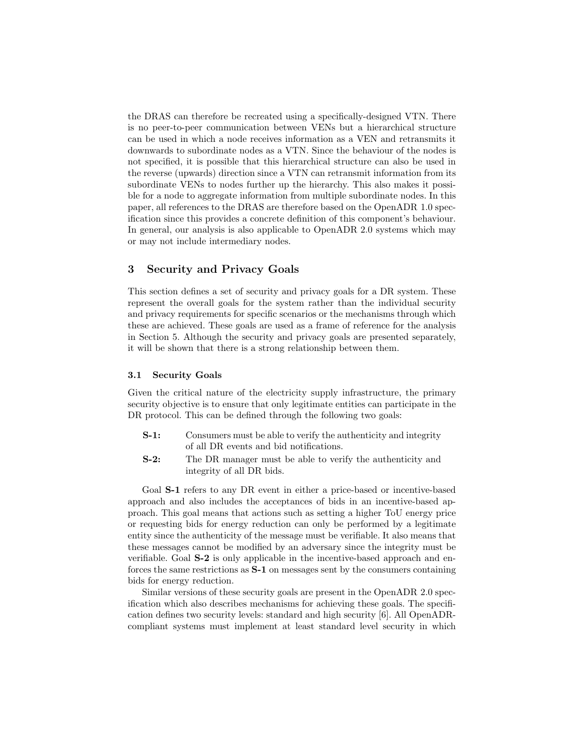the DRAS can therefore be recreated using a specifically-designed VTN. There is no peer-to-peer communication between VENs but a hierarchical structure can be used in which a node receives information as a VEN and retransmits it downwards to subordinate nodes as a VTN. Since the behaviour of the nodes is not specified, it is possible that this hierarchical structure can also be used in the reverse (upwards) direction since a VTN can retransmit information from its subordinate VENs to nodes further up the hierarchy. This also makes it possible for a node to aggregate information from multiple subordinate nodes. In this paper, all references to the DRAS are therefore based on the OpenADR 1.0 specification since this provides a concrete definition of this component's behaviour. In general, our analysis is also applicable to OpenADR 2.0 systems which may or may not include intermediary nodes.

# <span id="page-5-0"></span>3 Security and Privacy Goals

This section defines a set of security and privacy goals for a DR system. These represent the overall goals for the system rather than the individual security and privacy requirements for specific scenarios or the mechanisms through which these are achieved. These goals are used as a frame of reference for the analysis in Section [5.](#page-8-0) Although the security and privacy goals are presented separately, it will be shown that there is a strong relationship between them.

#### 3.1 Security Goals

Given the critical nature of the electricity supply infrastructure, the primary security objective is to ensure that only legitimate entities can participate in the DR protocol. This can be defined through the following two goals:

- S-1: Consumers must be able to verify the authenticity and integrity of all DR events and bid notifications.
- S-2: The DR manager must be able to verify the authenticity and integrity of all DR bids.

Goal S-1 refers to any DR event in either a price-based or incentive-based approach and also includes the acceptances of bids in an incentive-based approach. This goal means that actions such as setting a higher ToU energy price or requesting bids for energy reduction can only be performed by a legitimate entity since the authenticity of the message must be verifiable. It also means that these messages cannot be modified by an adversary since the integrity must be verifiable. Goal S-2 is only applicable in the incentive-based approach and enforces the same restrictions as S-1 on messages sent by the consumers containing bids for energy reduction.

Similar versions of these security goals are present in the OpenADR 2.0 specification which also describes mechanisms for achieving these goals. The specification defines two security levels: standard and high security [\[6\]](#page-14-5). All OpenADRcompliant systems must implement at least standard level security in which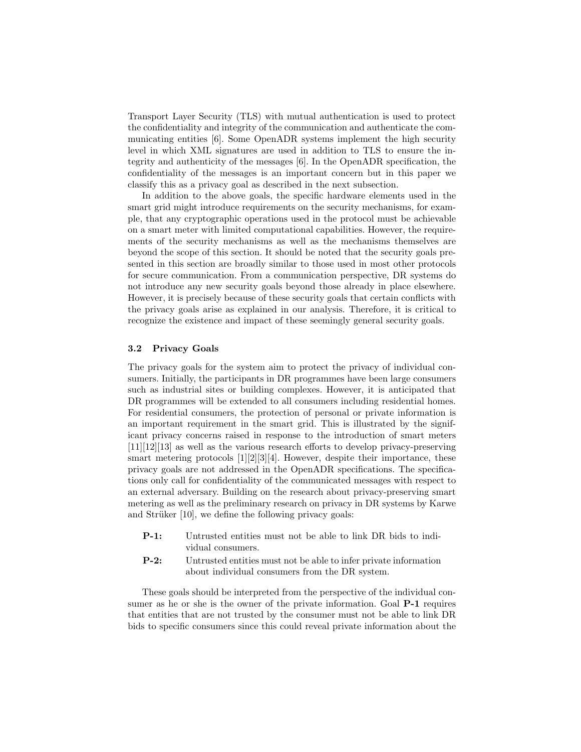Transport Layer Security (TLS) with mutual authentication is used to protect the confidentiality and integrity of the communication and authenticate the communicating entities [\[6\]](#page-14-5). Some OpenADR systems implement the high security level in which XML signatures are used in addition to TLS to ensure the integrity and authenticity of the messages [\[6\]](#page-14-5). In the OpenADR specification, the confidentiality of the messages is an important concern but in this paper we classify this as a privacy goal as described in the next subsection.

In addition to the above goals, the specific hardware elements used in the smart grid might introduce requirements on the security mechanisms, for example, that any cryptographic operations used in the protocol must be achievable on a smart meter with limited computational capabilities. However, the requirements of the security mechanisms as well as the mechanisms themselves are beyond the scope of this section. It should be noted that the security goals presented in this section are broadly similar to those used in most other protocols for secure communication. From a communication perspective, DR systems do not introduce any new security goals beyond those already in place elsewhere. However, it is precisely because of these security goals that certain conflicts with the privacy goals arise as explained in our analysis. Therefore, it is critical to recognize the existence and impact of these seemingly general security goals.

#### 3.2 Privacy Goals

The privacy goals for the system aim to protect the privacy of individual consumers. Initially, the participants in DR programmes have been large consumers such as industrial sites or building complexes. However, it is anticipated that DR programmes will be extended to all consumers including residential homes. For residential consumers, the protection of personal or private information is an important requirement in the smart grid. This is illustrated by the significant privacy concerns raised in response to the introduction of smart meters [\[11\]](#page-14-10)[\[12\]](#page-14-11)[\[13\]](#page-14-12) as well as the various research efforts to develop privacy-preserving smart metering protocols  $[1][2][3][4]$  $[1][2][3][4]$  $[1][2][3][4]$  $[1][2][3][4]$ . However, despite their importance, these privacy goals are not addressed in the OpenADR specifications. The specifications only call for confidentiality of the communicated messages with respect to an external adversary. Building on the research about privacy-preserving smart metering as well as the preliminary research on privacy in DR systems by Karwe and Strüker [\[10\]](#page-14-9), we define the following privacy goals:

- P-1: Untrusted entities must not be able to link DR bids to individual consumers.
- P-2: Untrusted entities must not be able to infer private information about individual consumers from the DR system.

These goals should be interpreted from the perspective of the individual consumer as he or she is the owner of the private information. Goal **P-1** requires that entities that are not trusted by the consumer must not be able to link DR bids to specific consumers since this could reveal private information about the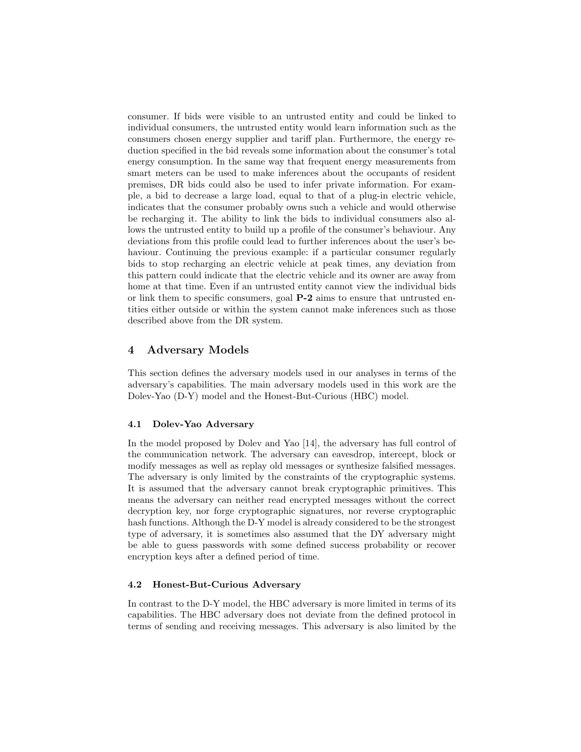consumer. If bids were visible to an untrusted entity and could be linked to individual consumers, the untrusted entity would learn information such as the consumers chosen energy supplier and tariff plan. Furthermore, the energy reduction specified in the bid reveals some information about the consumer's total energy consumption. In the same way that frequent energy measurements from smart meters can be used to make inferences about the occupants of resident premises, DR bids could also be used to infer private information. For example, a bid to decrease a large load, equal to that of a plug-in electric vehicle, indicates that the consumer probably owns such a vehicle and would otherwise be recharging it. The ability to link the bids to individual consumers also allows the untrusted entity to build up a profile of the consumer's behaviour. Any deviations from this profile could lead to further inferences about the user's behaviour. Continuing the previous example: if a particular consumer regularly bids to stop recharging an electric vehicle at peak times, any deviation from this pattern could indicate that the electric vehicle and its owner are away from home at that time. Even if an untrusted entity cannot view the individual bids or link them to specific consumers, goal P-2 aims to ensure that untrusted entities either outside or within the system cannot make inferences such as those described above from the DR system.

# <span id="page-7-0"></span>4 Adversary Models

This section defines the adversary models used in our analyses in terms of the adversary's capabilities. The main adversary models used in this work are the Dolev-Yao (D-Y) model and the Honest-But-Curious (HBC) model.

#### 4.1 Dolev-Yao Adversary

In the model proposed by Dolev and Yao [\[14\]](#page-14-13), the adversary has full control of the communication network. The adversary can eavesdrop, intercept, block or modify messages as well as replay old messages or synthesize falsified messages. The adversary is only limited by the constraints of the cryptographic systems. It is assumed that the adversary cannot break cryptographic primitives. This means the adversary can neither read encrypted messages without the correct decryption key, nor forge cryptographic signatures, nor reverse cryptographic hash functions. Although the D-Y model is already considered to be the strongest type of adversary, it is sometimes also assumed that the DY adversary might be able to guess passwords with some defined success probability or recover encryption keys after a defined period of time.

#### 4.2 Honest-But-Curious Adversary

In contrast to the D-Y model, the HBC adversary is more limited in terms of its capabilities. The HBC adversary does not deviate from the defined protocol in terms of sending and receiving messages. This adversary is also limited by the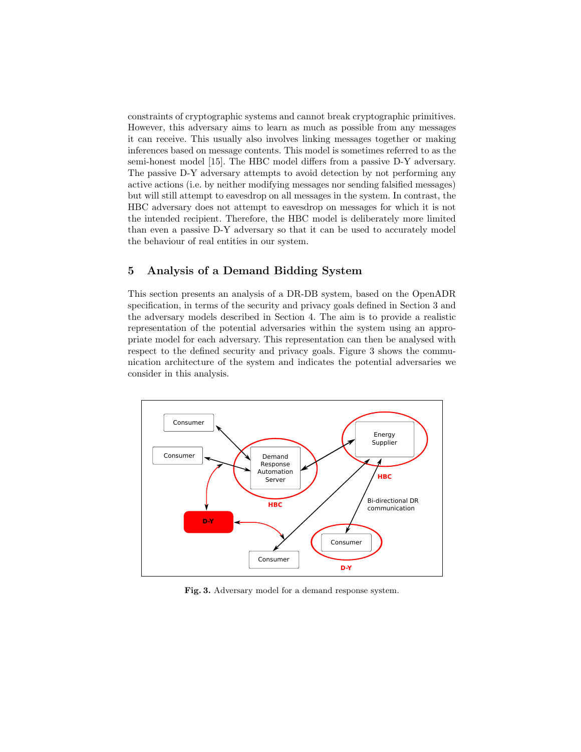constraints of cryptographic systems and cannot break cryptographic primitives. However, this adversary aims to learn as much as possible from any messages it can receive. This usually also involves linking messages together or making inferences based on message contents. This model is sometimes referred to as the semi-honest model [\[15\]](#page-14-14). The HBC model differs from a passive D-Y adversary. The passive D-Y adversary attempts to avoid detection by not performing any active actions (i.e. by neither modifying messages nor sending falsified messages) but will still attempt to eavesdrop on all messages in the system. In contrast, the HBC adversary does not attempt to eavesdrop on messages for which it is not the intended recipient. Therefore, the HBC model is deliberately more limited than even a passive D-Y adversary so that it can be used to accurately model the behaviour of real entities in our system.

# <span id="page-8-0"></span>5 Analysis of a Demand Bidding System

This section presents an analysis of a DR-DB system, based on the OpenADR specification, in terms of the security and privacy goals defined in Section [3](#page-5-0) and the adversary models described in Section [4.](#page-7-0) The aim is to provide a realistic representation of the potential adversaries within the system using an appropriate model for each adversary. This representation can then be analysed with respect to the defined security and privacy goals. Figure [3](#page-8-1) shows the communication architecture of the system and indicates the potential adversaries we consider in this analysis.



<span id="page-8-1"></span>Fig. 3. Adversary model for a demand response system.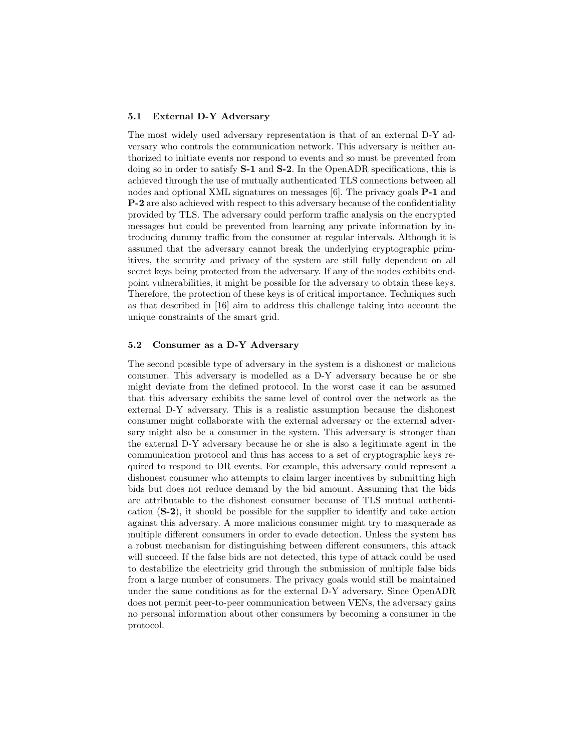#### 5.1 External D-Y Adversary

The most widely used adversary representation is that of an external D-Y adversary who controls the communication network. This adversary is neither authorized to initiate events nor respond to events and so must be prevented from doing so in order to satisfy **S-1** and **S-2**. In the OpenADR specifications, this is achieved through the use of mutually authenticated TLS connections between all nodes and optional XML signatures on messages [\[6\]](#page-14-5). The privacy goals P-1 and P-2 are also achieved with respect to this adversary because of the confidentiality provided by TLS. The adversary could perform traffic analysis on the encrypted messages but could be prevented from learning any private information by introducing dummy traffic from the consumer at regular intervals. Although it is assumed that the adversary cannot break the underlying cryptographic primitives, the security and privacy of the system are still fully dependent on all secret keys being protected from the adversary. If any of the nodes exhibits endpoint vulnerabilities, it might be possible for the adversary to obtain these keys. Therefore, the protection of these keys is of critical importance. Techniques such as that described in [\[16\]](#page-14-15) aim to address this challenge taking into account the unique constraints of the smart grid.

#### 5.2 Consumer as a D-Y Adversary

The second possible type of adversary in the system is a dishonest or malicious consumer. This adversary is modelled as a D-Y adversary because he or she might deviate from the defined protocol. In the worst case it can be assumed that this adversary exhibits the same level of control over the network as the external D-Y adversary. This is a realistic assumption because the dishonest consumer might collaborate with the external adversary or the external adversary might also be a consumer in the system. This adversary is stronger than the external D-Y adversary because he or she is also a legitimate agent in the communication protocol and thus has access to a set of cryptographic keys required to respond to DR events. For example, this adversary could represent a dishonest consumer who attempts to claim larger incentives by submitting high bids but does not reduce demand by the bid amount. Assuming that the bids are attributable to the dishonest consumer because of TLS mutual authentication (S-2), it should be possible for the supplier to identify and take action against this adversary. A more malicious consumer might try to masquerade as multiple different consumers in order to evade detection. Unless the system has a robust mechanism for distinguishing between different consumers, this attack will succeed. If the false bids are not detected, this type of attack could be used to destabilize the electricity grid through the submission of multiple false bids from a large number of consumers. The privacy goals would still be maintained under the same conditions as for the external D-Y adversary. Since OpenADR does not permit peer-to-peer communication between VENs, the adversary gains no personal information about other consumers by becoming a consumer in the protocol.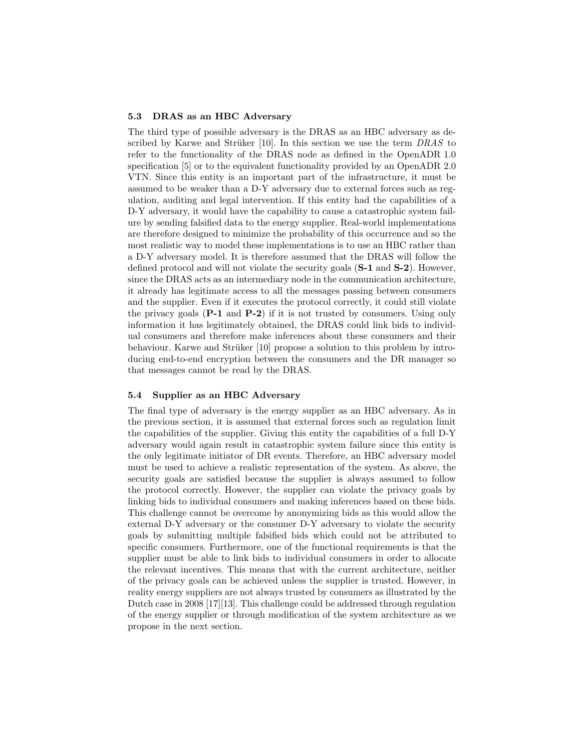#### 5.3 DRAS as an HBC Adversary

The third type of possible adversary is the DRAS as an HBC adversary as de-scribed by Karwe and Strüker [\[10\]](#page-14-9). In this section we use the term  $DRAS$  to refer to the functionality of the DRAS node as defined in the OpenADR 1.0 specification [\[5\]](#page-14-4) or to the equivalent functionality provided by an OpenADR 2.0 VTN. Since this entity is an important part of the infrastructure, it must be assumed to be weaker than a D-Y adversary due to external forces such as regulation, auditing and legal intervention. If this entity had the capabilities of a D-Y adversary, it would have the capability to cause a catastrophic system failure by sending falsified data to the energy supplier. Real-world implementations are therefore designed to minimize the probability of this occurrence and so the most realistic way to model these implementations is to use an HBC rather than a D-Y adversary model. It is therefore assumed that the DRAS will follow the defined protocol and will not violate the security goals (S-1 and S-2). However, since the DRAS acts as an intermediary node in the communication architecture, it already has legitimate access to all the messages passing between consumers and the supplier. Even if it executes the protocol correctly, it could still violate the privacy goals (P-1 and P-2) if it is not trusted by consumers. Using only information it has legitimately obtained, the DRAS could link bids to individual consumers and therefore make inferences about these consumers and their behaviour. Karwe and Strüker [\[10\]](#page-14-9) propose a solution to this problem by introducing end-to-end encryption between the consumers and the DR manager so that messages cannot be read by the DRAS.

#### 5.4 Supplier as an HBC Adversary

The final type of adversary is the energy supplier as an HBC adversary. As in the previous section, it is assumed that external forces such as regulation limit the capabilities of the supplier. Giving this entity the capabilities of a full D-Y adversary would again result in catastrophic system failure since this entity is the only legitimate initiator of DR events. Therefore, an HBC adversary model must be used to achieve a realistic representation of the system. As above, the security goals are satisfied because the supplier is always assumed to follow the protocol correctly. However, the supplier can violate the privacy goals by linking bids to individual consumers and making inferences based on these bids. This challenge cannot be overcome by anonymizing bids as this would allow the external D-Y adversary or the consumer D-Y adversary to violate the security goals by submitting multiple falsified bids which could not be attributed to specific consumers. Furthermore, one of the functional requirements is that the supplier must be able to link bids to individual consumers in order to allocate the relevant incentives. This means that with the current architecture, neither of the privacy goals can be achieved unless the supplier is trusted. However, in reality energy suppliers are not always trusted by consumers as illustrated by the Dutch case in 2008 [\[17\]](#page-14-16)[\[13\]](#page-14-12). This challenge could be addressed through regulation of the energy supplier or through modification of the system architecture as we propose in the next section.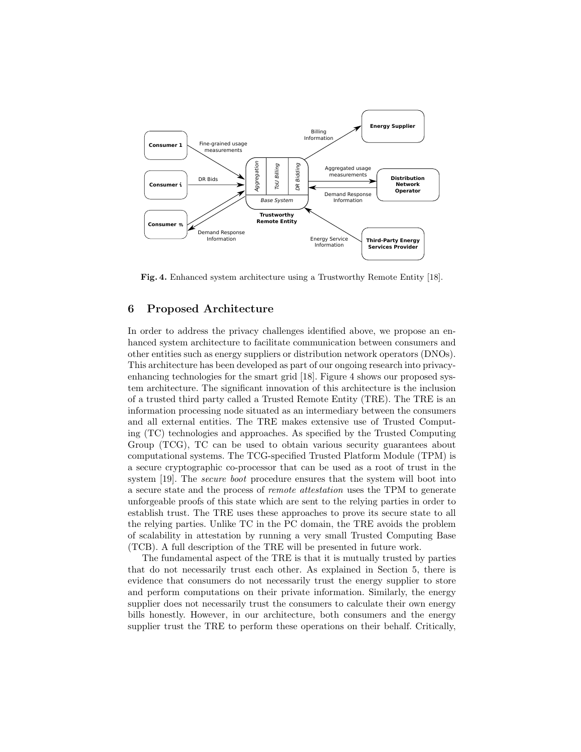

<span id="page-11-1"></span>Fig. 4. Enhanced system architecture using a Trustworthy Remote Entity [\[18\]](#page-14-17).

# <span id="page-11-0"></span>6 Proposed Architecture

In order to address the privacy challenges identified above, we propose an enhanced system architecture to facilitate communication between consumers and other entities such as energy suppliers or distribution network operators (DNOs). This architecture has been developed as part of our ongoing research into privacyenhancing technologies for the smart grid [\[18\]](#page-14-17). Figure [4](#page-11-1) shows our proposed system architecture. The significant innovation of this architecture is the inclusion of a trusted third party called a Trusted Remote Entity (TRE). The TRE is an information processing node situated as an intermediary between the consumers and all external entities. The TRE makes extensive use of Trusted Computing (TC) technologies and approaches. As specified by the Trusted Computing Group (TCG), TC can be used to obtain various security guarantees about computational systems. The TCG-specified Trusted Platform Module (TPM) is a secure cryptographic co-processor that can be used as a root of trust in the system [\[19\]](#page-14-18). The *secure boot* procedure ensures that the system will boot into a secure state and the process of remote attestation uses the TPM to generate unforgeable proofs of this state which are sent to the relying parties in order to establish trust. The TRE uses these approaches to prove its secure state to all the relying parties. Unlike TC in the PC domain, the TRE avoids the problem of scalability in attestation by running a very small Trusted Computing Base (TCB). A full description of the TRE will be presented in future work.

The fundamental aspect of the TRE is that it is mutually trusted by parties that do not necessarily trust each other. As explained in Section [5,](#page-8-0) there is evidence that consumers do not necessarily trust the energy supplier to store and perform computations on their private information. Similarly, the energy supplier does not necessarily trust the consumers to calculate their own energy bills honestly. However, in our architecture, both consumers and the energy supplier trust the TRE to perform these operations on their behalf. Critically,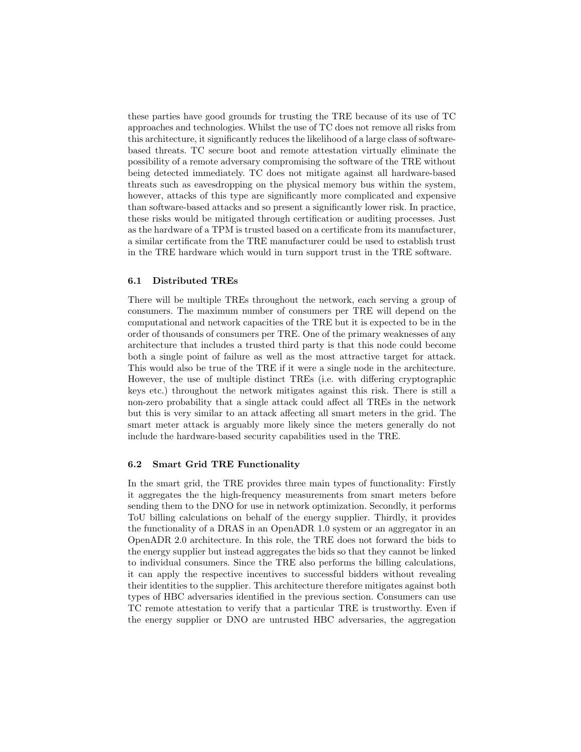these parties have good grounds for trusting the TRE because of its use of TC approaches and technologies. Whilst the use of TC does not remove all risks from this architecture, it significantly reduces the likelihood of a large class of softwarebased threats. TC secure boot and remote attestation virtually eliminate the possibility of a remote adversary compromising the software of the TRE without being detected immediately. TC does not mitigate against all hardware-based threats such as eavesdropping on the physical memory bus within the system, however, attacks of this type are significantly more complicated and expensive than software-based attacks and so present a significantly lower risk. In practice, these risks would be mitigated through certification or auditing processes. Just as the hardware of a TPM is trusted based on a certificate from its manufacturer, a similar certificate from the TRE manufacturer could be used to establish trust in the TRE hardware which would in turn support trust in the TRE software.

## 6.1 Distributed TREs

There will be multiple TREs throughout the network, each serving a group of consumers. The maximum number of consumers per TRE will depend on the computational and network capacities of the TRE but it is expected to be in the order of thousands of consumers per TRE. One of the primary weaknesses of any architecture that includes a trusted third party is that this node could become both a single point of failure as well as the most attractive target for attack. This would also be true of the TRE if it were a single node in the architecture. However, the use of multiple distinct TREs (i.e. with differing cryptographic keys etc.) throughout the network mitigates against this risk. There is still a non-zero probability that a single attack could affect all TREs in the network but this is very similar to an attack affecting all smart meters in the grid. The smart meter attack is arguably more likely since the meters generally do not include the hardware-based security capabilities used in the TRE.

#### 6.2 Smart Grid TRE Functionality

In the smart grid, the TRE provides three main types of functionality: Firstly it aggregates the the high-frequency measurements from smart meters before sending them to the DNO for use in network optimization. Secondly, it performs ToU billing calculations on behalf of the energy supplier. Thirdly, it provides the functionality of a DRAS in an OpenADR 1.0 system or an aggregator in an OpenADR 2.0 architecture. In this role, the TRE does not forward the bids to the energy supplier but instead aggregates the bids so that they cannot be linked to individual consumers. Since the TRE also performs the billing calculations, it can apply the respective incentives to successful bidders without revealing their identities to the supplier. This architecture therefore mitigates against both types of HBC adversaries identified in the previous section. Consumers can use TC remote attestation to verify that a particular TRE is trustworthy. Even if the energy supplier or DNO are untrusted HBC adversaries, the aggregation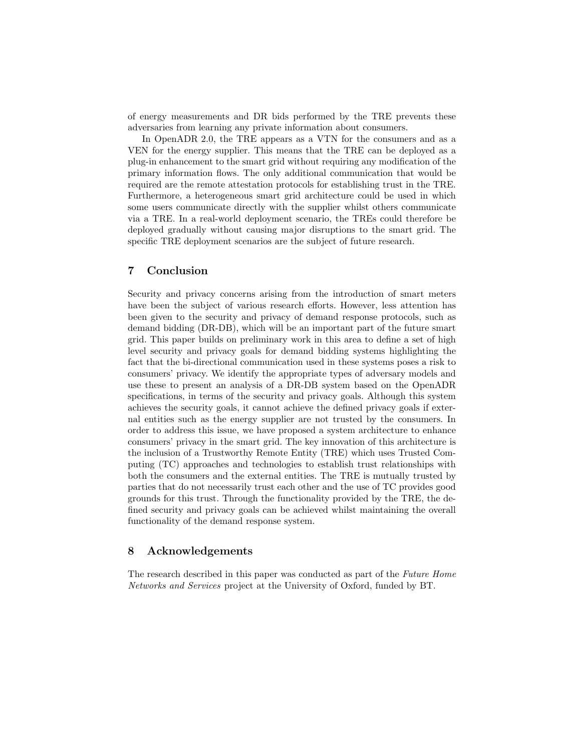of energy measurements and DR bids performed by the TRE prevents these adversaries from learning any private information about consumers.

In OpenADR 2.0, the TRE appears as a VTN for the consumers and as a VEN for the energy supplier. This means that the TRE can be deployed as a plug-in enhancement to the smart grid without requiring any modification of the primary information flows. The only additional communication that would be required are the remote attestation protocols for establishing trust in the TRE. Furthermore, a heterogeneous smart grid architecture could be used in which some users communicate directly with the supplier whilst others communicate via a TRE. In a real-world deployment scenario, the TREs could therefore be deployed gradually without causing major disruptions to the smart grid. The specific TRE deployment scenarios are the subject of future research.

# 7 Conclusion

Security and privacy concerns arising from the introduction of smart meters have been the subject of various research efforts. However, less attention has been given to the security and privacy of demand response protocols, such as demand bidding (DR-DB), which will be an important part of the future smart grid. This paper builds on preliminary work in this area to define a set of high level security and privacy goals for demand bidding systems highlighting the fact that the bi-directional communication used in these systems poses a risk to consumers' privacy. We identify the appropriate types of adversary models and use these to present an analysis of a DR-DB system based on the OpenADR specifications, in terms of the security and privacy goals. Although this system achieves the security goals, it cannot achieve the defined privacy goals if external entities such as the energy supplier are not trusted by the consumers. In order to address this issue, we have proposed a system architecture to enhance consumers' privacy in the smart grid. The key innovation of this architecture is the inclusion of a Trustworthy Remote Entity (TRE) which uses Trusted Computing (TC) approaches and technologies to establish trust relationships with both the consumers and the external entities. The TRE is mutually trusted by parties that do not necessarily trust each other and the use of TC provides good grounds for this trust. Through the functionality provided by the TRE, the defined security and privacy goals can be achieved whilst maintaining the overall functionality of the demand response system.

# 8 Acknowledgements

The research described in this paper was conducted as part of the Future Home Networks and Services project at the University of Oxford, funded by BT.